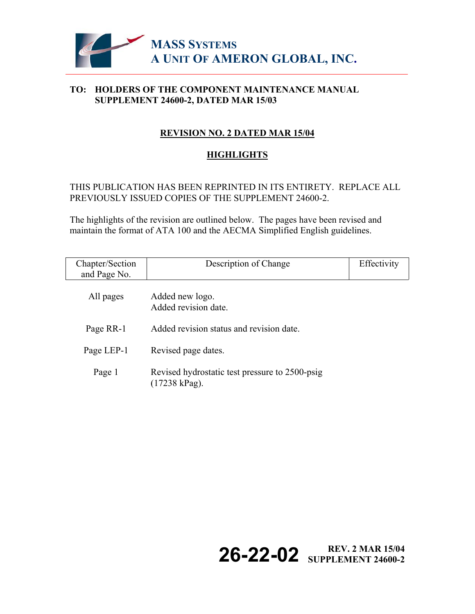

#### **TO: HOLDERS OF THE COMPONENT MAINTENANCE MANUAL SUPPLEMENT 24600-2, DATED MAR 15/03**

#### **REVISION NO. 2 DATED MAR 15/04**

#### **HIGHLIGHTS**

#### THIS PUBLICATION HAS BEEN REPRINTED IN ITS ENTIRETY. REPLACE ALL PREVIOUSLY ISSUED COPIES OF THE SUPPLEMENT 24600-2.

The highlights of the revision are outlined below. The pages have been revised and maintain the format of ATA 100 and the AECMA Simplified English guidelines.

| Chapter/Section | Description of Change                                                      | Effectivity |
|-----------------|----------------------------------------------------------------------------|-------------|
| and Page No.    |                                                                            |             |
| All pages       | Added new logo.<br>Added revision date.                                    |             |
| Page RR-1       | Added revision status and revision date.                                   |             |
| Page LEP-1      | Revised page dates.                                                        |             |
| Page 1          | Revised hydrostatic test pressure to 2500-psig.<br>$(17238 \text{ kPag}).$ |             |

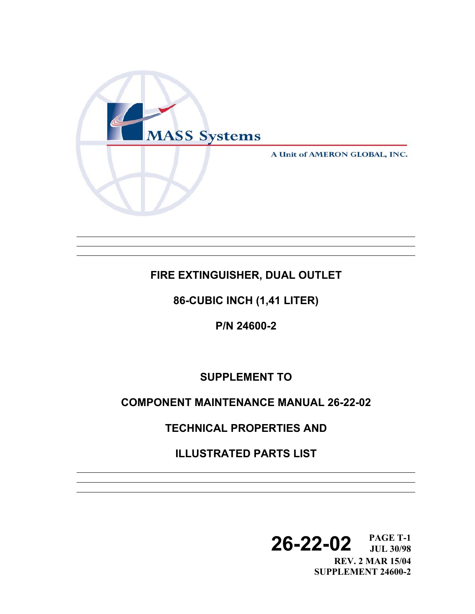

A Unit of AMERON GLOBAL, INC.

#### **FIRE EXTINGUISHER, DUAL OUTLET**

**86-CUBIC INCH (1,41 LITER)** 

**P/N 24600-2** 

**SUPPLEMENT TO** 

### **COMPONENT MAINTENANCE MANUAL 26-22-02**

**TECHNICAL PROPERTIES AND** 

**ILLUSTRATED PARTS LIST** 

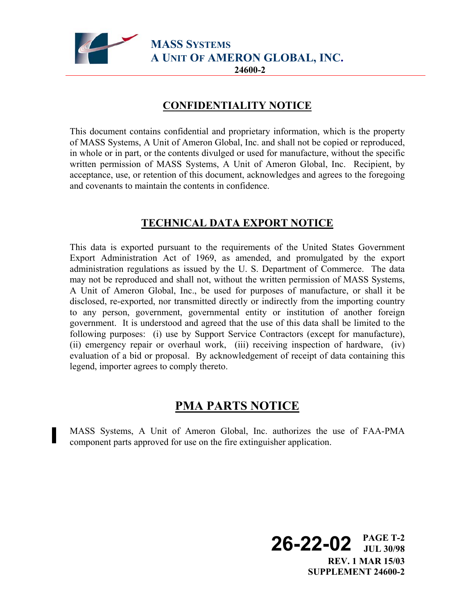

#### **CONFIDENTIALITY NOTICE**

This document contains confidential and proprietary information, which is the property of MASS Systems, A Unit of Ameron Global, Inc. and shall not be copied or reproduced, in whole or in part, or the contents divulged or used for manufacture, without the specific written permission of MASS Systems, A Unit of Ameron Global, Inc. Recipient, by acceptance, use, or retention of this document, acknowledges and agrees to the foregoing and covenants to maintain the contents in confidence.

#### **TECHNICAL DATA EXPORT NOTICE**

This data is exported pursuant to the requirements of the United States Government Export Administration Act of 1969, as amended, and promulgated by the export administration regulations as issued by the U. S. Department of Commerce. The data may not be reproduced and shall not, without the written permission of MASS Systems, A Unit of Ameron Global, Inc., be used for purposes of manufacture, or shall it be disclosed, re-exported, nor transmitted directly or indirectly from the importing country to any person, government, governmental entity or institution of another foreign government. It is understood and agreed that the use of this data shall be limited to the following purposes: (i) use by Support Service Contractors (except for manufacture), (ii) emergency repair or overhaul work, (iii) receiving inspection of hardware, (iv) evaluation of a bid or proposal. By acknowledgement of receipt of data containing this legend, importer agrees to comply thereto.

### **PMA PARTS NOTICE**

MASS Systems, A Unit of Ameron Global, Inc. authorizes the use of FAA-PMA component parts approved for use on the fire extinguisher application.

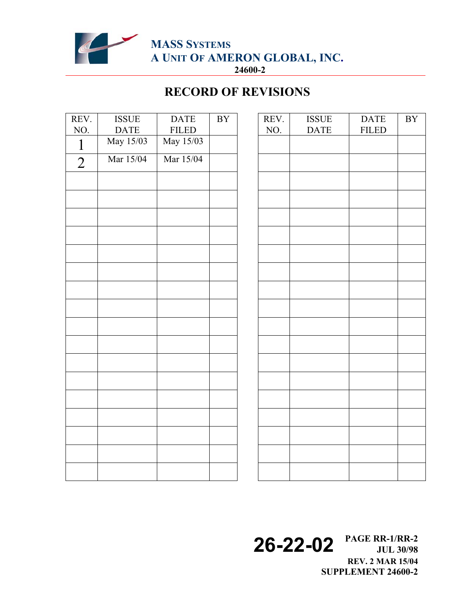

# **RECORD OF REVISIONS**

| REV.           | <b>ISSUE</b> | <b>DATE</b>  | ${\rm BY}$ | REV. |
|----------------|--------------|--------------|------------|------|
| NO.            | <b>DATE</b>  | <b>FILED</b> |            | NO.  |
| $\mathbf{1}$   | May 15/03    | May 15/03    |            |      |
| $\overline{2}$ | Mar 15/04    | Mar 15/04    |            |      |
|                |              |              |            |      |
|                |              |              |            |      |
|                |              |              |            |      |
|                |              |              |            |      |
|                |              |              |            |      |
|                |              |              |            |      |
|                |              |              |            |      |
|                |              |              |            |      |
|                |              |              |            |      |
|                |              |              |            |      |
|                |              |              |            |      |
|                |              |              |            |      |
|                |              |              |            |      |
|                |              |              |            |      |
|                |              |              |            |      |
|                |              |              |            |      |
|                |              |              |            |      |
|                |              |              |            |      |
|                |              |              |            |      |
|                |              |              |            |      |
|                |              |              |            |      |

| REV. | <b>ISSUE</b> | <b>DATE</b>  | BY |
|------|--------------|--------------|----|
| NO.  | <b>DATE</b>  | <b>FILED</b> |    |
|      |              |              |    |
|      |              |              |    |
|      |              |              |    |
|      |              |              |    |
|      |              |              |    |
|      |              |              |    |
|      |              |              |    |
|      |              |              |    |
|      |              |              |    |
|      |              |              |    |
|      |              |              |    |
|      |              |              |    |
|      |              |              |    |
|      |              |              |    |
|      |              |              |    |
|      |              |              |    |
|      |              |              |    |
|      |              |              |    |
|      |              |              |    |
|      |              |              |    |
|      |              |              |    |
|      |              |              |    |
|      |              |              |    |
|      |              |              |    |
|      |              |              |    |
|      |              |              |    |
|      |              |              |    |
|      |              |              |    |
|      |              |              |    |
|      |              |              |    |
|      |              |              |    |

**26-22-02 PAGE RR-1/RR-2 JUL 30/98 REV. 2 MAR 15/04 SUPPLEMENT 24600-2**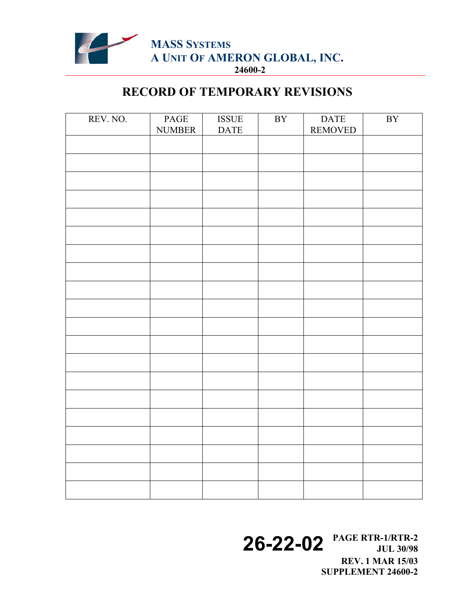

### **RECORD OF TEMPORARY REVISIONS**

| REV. NO. | $\overline{\mathsf{PAGE}}$<br><b>NUMBER</b> | <b>ISSUE</b><br><b>DATE</b> | $\rm BY$ | $\overline{\text{DATE}}$<br><b>REMOVED</b> | $\rm BY$ |
|----------|---------------------------------------------|-----------------------------|----------|--------------------------------------------|----------|
|          |                                             |                             |          |                                            |          |
|          |                                             |                             |          |                                            |          |
|          |                                             |                             |          |                                            |          |
|          |                                             |                             |          |                                            |          |
|          |                                             |                             |          |                                            |          |
|          |                                             |                             |          |                                            |          |
|          |                                             |                             |          |                                            |          |
|          |                                             |                             |          |                                            |          |
|          |                                             |                             |          |                                            |          |
|          |                                             |                             |          |                                            |          |
|          |                                             |                             |          |                                            |          |
|          |                                             |                             |          |                                            |          |
|          |                                             |                             |          |                                            |          |
|          |                                             |                             |          |                                            |          |
|          |                                             |                             |          |                                            |          |
|          |                                             |                             |          |                                            |          |
|          |                                             |                             |          |                                            |          |
|          |                                             |                             |          |                                            |          |
|          |                                             |                             |          |                                            |          |
|          |                                             |                             |          |                                            |          |

**26-22-02 PAGE RTR-1/RTR-2 JUL 30/98 REV. 1 MAR 15/03 SUPPLEMENT 24600-2**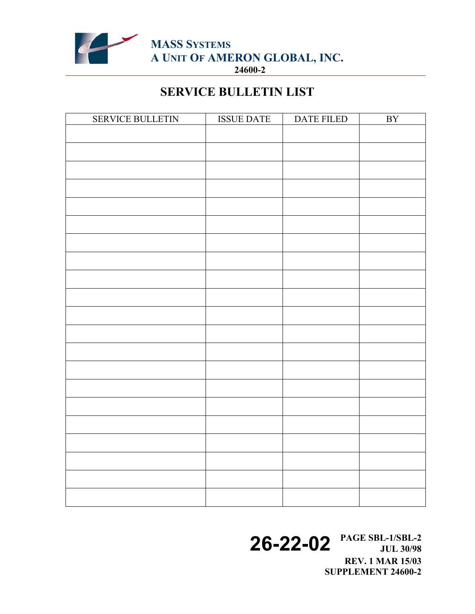

**24600-2**

# **SERVICE BULLETIN LIST**

| SERVICE BULLETIN | <b>ISSUE DATE</b> | DATE FILED | BY |
|------------------|-------------------|------------|----|
|                  |                   |            |    |
|                  |                   |            |    |
|                  |                   |            |    |
|                  |                   |            |    |
|                  |                   |            |    |
|                  |                   |            |    |
|                  |                   |            |    |
|                  |                   |            |    |
|                  |                   |            |    |
|                  |                   |            |    |
|                  |                   |            |    |
|                  |                   |            |    |
|                  |                   |            |    |
|                  |                   |            |    |
|                  |                   |            |    |
|                  |                   |            |    |
|                  |                   |            |    |
|                  |                   |            |    |
|                  |                   |            |    |
|                  |                   |            |    |
|                  |                   |            |    |
|                  |                   |            |    |
|                  |                   |            |    |

**26-22-02 PAGE SBL-1/SBL-2 JUL 30/98 REV. 1 MAR 15/03 SUPPLEMENT 24600-2**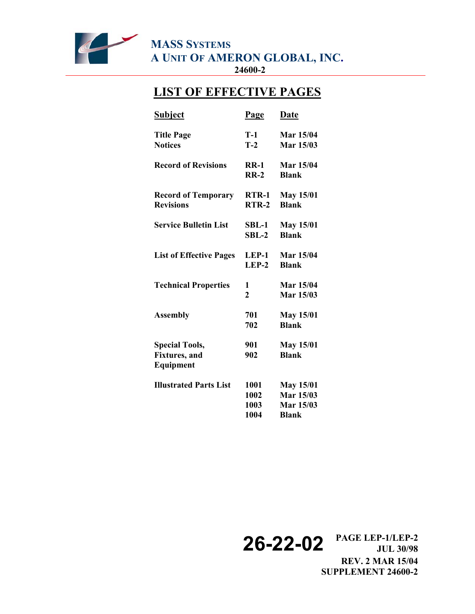

**MASS SYSTEMS A UNIT OF AMERON GLOBAL, INC.**

**24600-2**

# **LIST OF EFFECTIVE PAGES**

| <b>Subject</b>                                              | Page                         | Date                                                              |
|-------------------------------------------------------------|------------------------------|-------------------------------------------------------------------|
| <b>Title Page</b><br><b>Notices</b>                         | $T-1$<br>$T-2$               | <b>Mar 15/04</b><br><b>Mar 15/03</b>                              |
| <b>Record of Revisions</b>                                  | $RR-1$<br>$RR-2$             | <b>Mar 15/04</b><br><b>Blank</b>                                  |
| <b>Record of Temporary</b><br><b>Revisions</b>              | RTR-1<br>$RTR-2$             | <b>May 15/01</b><br><b>Blank</b>                                  |
| <b>Service Bulletin List</b>                                | SBL-1<br>$SBL-2$             | <b>May 15/01</b><br><b>Blank</b>                                  |
| <b>List of Effective Pages</b>                              | $LEP-1$<br>$LEP-2$           | <b>Mar 15/04</b><br><b>Blank</b>                                  |
| <b>Technical Properties</b>                                 | 1<br>$\mathbf{2}$            | <b>Mar 15/04</b><br>Mar 15/03                                     |
| <b>Assembly</b>                                             | 701<br>702                   | <b>May 15/01</b><br><b>Blank</b>                                  |
| <b>Special Tools,</b><br><b>Fixtures</b> , and<br>Equipment | 901<br>902                   | <b>May 15/01</b><br><b>Blank</b>                                  |
| <b>Illustrated Parts List</b>                               | 1001<br>1002<br>1003<br>1004 | <b>May 15/01</b><br>Mar 15/03<br><b>Mar 15/03</b><br><b>Blank</b> |

**26-22-02 PAGE LEP-1/LEP-2 JUL 30/98**

**REV. 2 MAR 15/04 SUPPLEMENT 24600-2**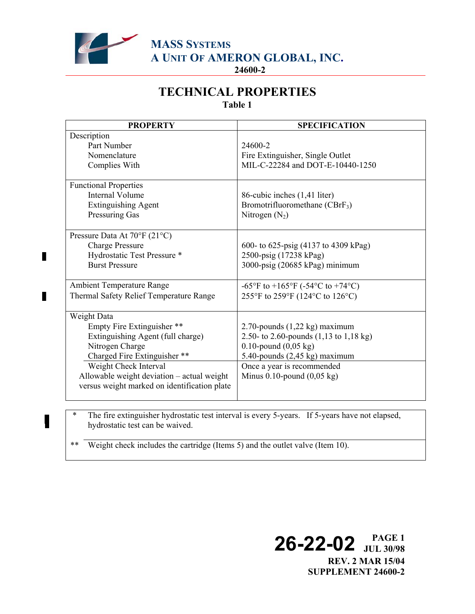

 $\blacksquare$ 

 $\blacksquare$ 

**MASS SYSTEMS A UNIT OF AMERON GLOBAL, INC.**

**24600-2**

## **TECHNICAL PROPERTIES**

**Table 1** 

| <b>PROPERTY</b>                              | <b>SPECIFICATION</b>                                      |
|----------------------------------------------|-----------------------------------------------------------|
| Description                                  |                                                           |
| Part Number                                  | 24600-2                                                   |
| Nomenclature                                 | Fire Extinguisher, Single Outlet                          |
| Complies With                                | MIL-C-22284 and DOT-E-10440-1250                          |
| <b>Functional Properties</b>                 |                                                           |
| <b>Internal Volume</b>                       | 86-cubic inches (1,41 liter)                              |
| <b>Extinguishing Agent</b>                   | Bromotrifluoromethane (CBrF <sub>3</sub> )                |
| Pressuring Gas                               | Nitrogen $(N_2)$                                          |
| Pressure Data At 70°F (21°C)                 |                                                           |
| <b>Charge Pressure</b>                       | 600- to 625-psig (4137 to 4309 kPag)                      |
| Hydrostatic Test Pressure *                  | 2500-psig (17238 kPag)                                    |
| <b>Burst Pressure</b>                        | 3000-psig (20685 kPag) minimum                            |
|                                              |                                                           |
| <b>Ambient Temperature Range</b>             | -65°F to +165°F (-54°C to +74°C)                          |
| Thermal Safety Relief Temperature Range      | 255°F to 259°F (124°C to 126°C)                           |
|                                              |                                                           |
| Weight Data                                  |                                                           |
| Empty Fire Extinguisher **                   | 2.70-pounds $(1,22 \text{ kg})$ maximum                   |
| Extinguishing Agent (full charge)            | 2.50- to 2.60-pounds $(1,13 \text{ to } 1,18 \text{ kg})$ |
| Nitrogen Charge                              | 0.10-pound $(0.05 \text{ kg})$                            |
| Charged Fire Extinguisher **                 | 5.40-pounds (2,45 kg) maximum                             |
| Weight Check Interval                        | Once a year is recommended                                |
| Allowable weight deviation - actual weight   | Minus $0.10$ -pound $(0.05 \text{ kg})$                   |
| versus weight marked on identification plate |                                                           |
|                                              |                                                           |

The fire extinguisher hydrostatic test interval is every 5-years. If 5-years have not elapsed, hydrostatic test can be waived.

\*\* Weight check includes the cartridge (Items 5) and the outlet valve (Item 10).

**26-22-02 PAGE 1 JUL 30/98 REV. 2 MAR 15/04 SUPPLEMENT 24600-2**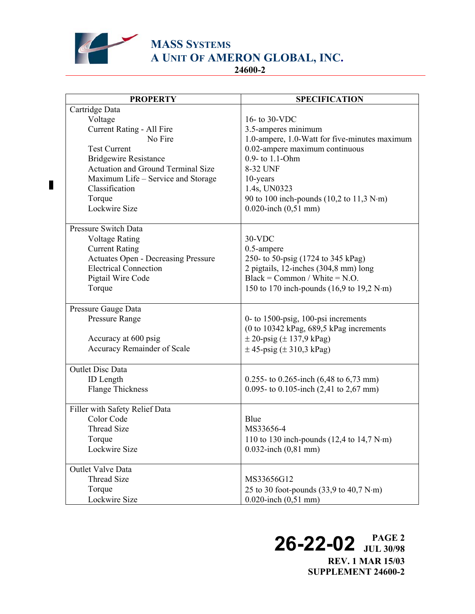

 $\blacksquare$ 

# **MASS SYSTEMS A UNIT OF AMERON GLOBAL, INC.**

**24600-2**

| <b>PROPERTY</b>                            | <b>SPECIFICATION</b>                                                    |
|--------------------------------------------|-------------------------------------------------------------------------|
| Cartridge Data                             |                                                                         |
| Voltage                                    | 16- to 30-VDC                                                           |
| Current Rating - All Fire                  | 3.5-amperes minimum                                                     |
| No Fire                                    | 1.0-ampere, 1.0-Watt for five-minutes maximum                           |
| <b>Test Current</b>                        | 0.02-ampere maximum continuous                                          |
| <b>Bridgewire Resistance</b>               | 0.9- to 1.1-Ohm                                                         |
| <b>Actuation and Ground Terminal Size</b>  | 8-32 UNF                                                                |
| Maximum Life - Service and Storage         | 10-years                                                                |
| Classification                             | 1.4s, UN0323                                                            |
| Torque                                     | 90 to 100 inch-pounds (10,2 to 11,3 N·m)                                |
| Lockwire Size                              | $0.020$ -inch $(0.51$ mm)                                               |
| Pressure Switch Data                       |                                                                         |
| <b>Voltage Rating</b>                      | 30-VDC                                                                  |
| <b>Current Rating</b>                      | 0.5-ampere                                                              |
| <b>Actuates Open - Decreasing Pressure</b> | 250- to 50-psig (1724 to 345 kPag)                                      |
| <b>Electrical Connection</b>               | 2 pigtails, 12-inches (304,8 mm) long                                   |
| Pigtail Wire Code                          | $Black = Common / White = N.O.$                                         |
| Torque                                     | 150 to 170 inch-pounds (16,9 to 19,2 N·m)                               |
| Pressure Gauge Data                        |                                                                         |
| Pressure Range                             | 0- to 1500-psig, 100-psi increments                                     |
|                                            | $(0 to 10342 kPag, 689, 5 kPag$ increments                              |
| Accuracy at 600 psig                       | $\pm$ 20-psig ( $\pm$ 137,9 kPag)                                       |
| Accuracy Remainder of Scale                | $\pm$ 45-psig ( $\pm$ 310,3 kPag)                                       |
|                                            |                                                                         |
| <b>Outlet Disc Data</b>                    |                                                                         |
| ID Length                                  | 0.255- to 0.265-inch $(6,48 \text{ to } 6,73 \text{ mm})$               |
| Flange Thickness                           | 0.095- to 0.105-inch $(2,41$ to 2,67 mm)                                |
| Filler with Safety Relief Data             |                                                                         |
| Color Code                                 | Blue                                                                    |
| <b>Thread Size</b>                         | MS33656-4                                                               |
| Torque                                     | 110 to 130 inch-pounds $(12,4 \text{ to } 14,7 \text{ N}\cdot\text{m})$ |
| Lockwire Size                              | $0.032$ -inch $(0, 81$ mm)                                              |
| <b>Outlet Valve Data</b>                   |                                                                         |
| <b>Thread Size</b>                         | MS33656G12                                                              |
| Torque                                     | 25 to 30 foot-pounds (33,9 to 40,7 N·m)                                 |
| Lockwire Size                              | $0.020$ -inch $(0.51$ mm)                                               |

**26-22-02 JUL 30/98 PAGE 2 REV. 1 MAR 15/03 SUPPLEMENT 24600-2**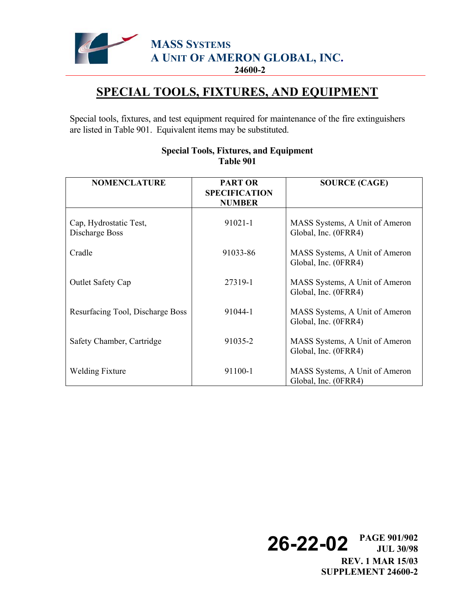

**24600-2**

## **SPECIAL TOOLS, FIXTURES, AND EQUIPMENT**

Special tools, fixtures, and test equipment required for maintenance of the fire extinguishers are listed in Table 901. Equivalent items may be substituted.

| <b>NOMENCLATURE</b>                      | <b>PART OR</b><br><b>SPECIFICATION</b><br><b>NUMBER</b> | <b>SOURCE (CAGE)</b>                                   |
|------------------------------------------|---------------------------------------------------------|--------------------------------------------------------|
| Cap, Hydrostatic Test,<br>Discharge Boss | 91021-1                                                 | MASS Systems, A Unit of Ameron<br>Global, Inc. (0FRR4) |
| Cradle                                   | 91033-86                                                | MASS Systems, A Unit of Ameron<br>Global, Inc. (0FRR4) |
| <b>Outlet Safety Cap</b>                 | 27319-1                                                 | MASS Systems, A Unit of Ameron<br>Global, Inc. (0FRR4) |
| Resurfacing Tool, Discharge Boss         | 91044-1                                                 | MASS Systems, A Unit of Ameron<br>Global, Inc. (0FRR4) |
| Safety Chamber, Cartridge                | 91035-2                                                 | MASS Systems, A Unit of Ameron<br>Global, Inc. (0FRR4) |
| <b>Welding Fixture</b>                   | 91100-1                                                 | MASS Systems, A Unit of Ameron<br>Global, Inc. (0FRR4) |

#### **Special Tools, Fixtures, and Equipment Table 901**

**26-22-02 PAGE 901/902 JUL 30/98 REV. 1 MAR 15/03 SUPPLEMENT 24600-2**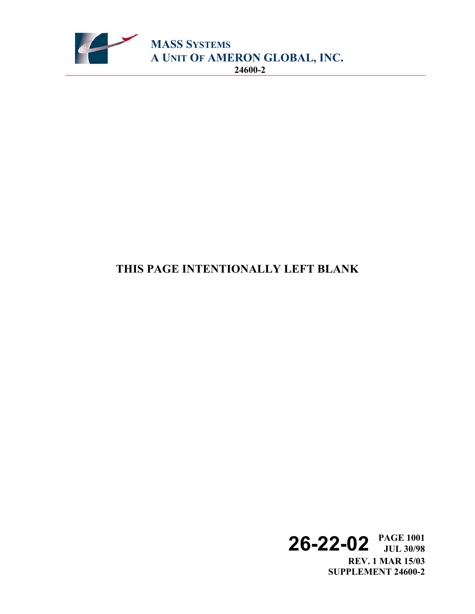

# **THIS PAGE INTENTIONALLY LEFT BLANK**

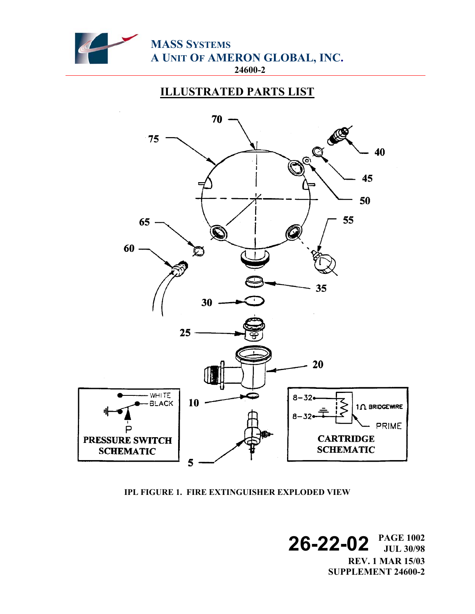

**ILLUSTRATED PARTS LIST**



**IPL FIGURE 1. FIRE EXTINGUISHER EXPLODED VIEW**

**26-22-02 PAGE 1002 JUL 30/98 REV. 1 MAR 15/03 SUPPLEMENT 24600-2**